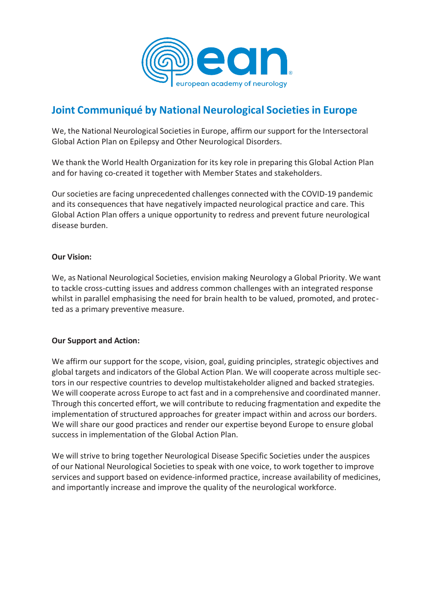

## **Joint Communiqué by National Neurological Societies in Europe**

We, the National Neurological Societies in Europe, affirm our support for the Intersectoral Global Action Plan on Epilepsy and Other Neurological Disorders.

We thank the World Health Organization for its key role in preparing this Global Action Plan and for having co-created it together with Member States and stakeholders.

Oursocieties are facing unprecedented challenges connected with the COVID-19 pandemic and its consequences that have negatively impacted neurological practice and care. This Global Action Plan offers a unique opportunity to redress and prevent future neurological disease burden.

### **Our Vision:**

We, as National Neurological Societies, envision making Neurology a Global Priority. We want to tackle cross-cutting issues and address common challenges with an integrated response whilst in parallel emphasising the need for brain health to be valued, promoted, and protected as a primary preventive measure.

### **Our Support and Action:**

We affirm our support for the scope, vision, goal, guiding principles, strategic objectives and global targets and indicators of the Global Action Plan. We will cooperate across multiple sectors in our respective countries to develop multistakeholder aligned and backed strategies. We will cooperate across Europe to act fast and in a comprehensive and coordinated manner. Through this concerted effort, we will contribute to reducing fragmentation and expedite the implementation of structured approaches for greater impact within and across our borders. We will share our good practices and render our expertise beyond Europe to ensure global success in implementation of the Global Action Plan.

We will strive to bring together Neurological Disease Specific Societies under the auspices of our National Neurological Societies to speak with one voice, to work together to improve services and support based on evidence-informed practice, increase availability of medicines, and importantly increase and improve the quality of the neurological workforce.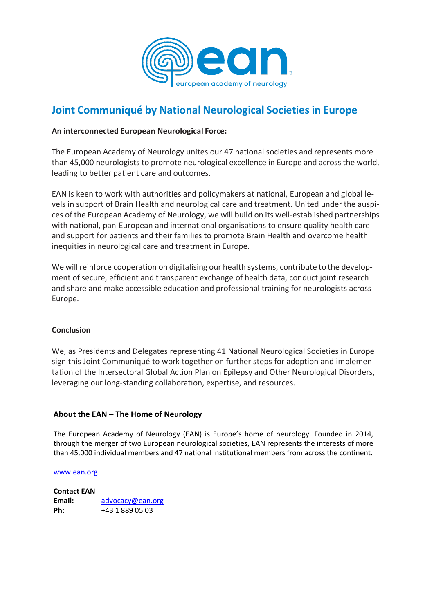

# **Joint Communiqué by National Neurological Societies in Europe**

#### **An interconnected European Neurological Force:**

The European Academy of Neurology unites our 47 national societies and represents more than 45,000 neurologists to promote neurological excellence in Europe and across the world, leading to better patient care and outcomes.

EAN is keen to work with authorities and policymakers at national, European and global levels in support of Brain Health and neurological care and treatment. United under the auspices of the European Academy of Neurology, we will build on its well-established partnerships with national, pan-European and international organisations to ensure quality health care and support for patients and their families to promote Brain Health and overcome health inequities in neurological care and treatment in Europe.

We will reinforce cooperation on digitalising our health systems, contribute to the development of secure, efficient and transparent exchange of health data, conduct joint research and share and make accessible education and professional training for neurologists across Europe.

#### **Conclusion**

We, as Presidents and Delegates representing 41 National Neurological Societies in Europe sign this Joint Communiqué to work together on further steps for adoption and implementation of the Intersectoral Global Action Plan on Epilepsy and Other Neurological Disorders, leveraging our long-standing collaboration, expertise, and resources.

#### **About the EAN – The Home of Neurology**

The European Academy of Neurology (EAN) is Europe's home of neurology. Founded in 2014, through the merger of two European neurological societies, EAN represents the interests of more than 45,000 individual members and 47 national institutional members from across the continent.

#### [www.ean.org](http://www.ean.org/)

**Contact EAN Email:** [advocacy@ean.org](mailto:advocacy@ean.org) **Ph:** +43 1 889 05 03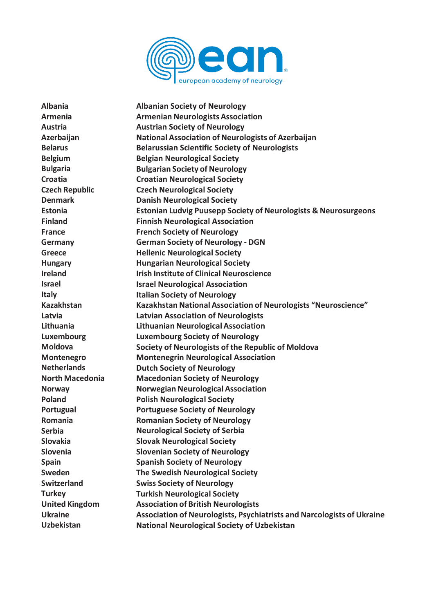

| <b>Albania</b>         | <b>Albanian Society of Neurology</b>                                          |
|------------------------|-------------------------------------------------------------------------------|
| <b>Armenia</b>         | <b>Armenian Neurologists Association</b>                                      |
| <b>Austria</b>         | <b>Austrian Society of Neurology</b>                                          |
| <b>Azerbaijan</b>      | <b>National Association of Neurologists of Azerbaijan</b>                     |
| <b>Belarus</b>         | <b>Belarussian Scientific Society of Neurologists</b>                         |
| <b>Belgium</b>         | <b>Belgian Neurological Society</b>                                           |
| <b>Bulgaria</b>        | <b>Bulgarian Society of Neurology</b>                                         |
| <b>Croatia</b>         | <b>Croatian Neurological Society</b>                                          |
| <b>Czech Republic</b>  | <b>Czech Neurological Society</b>                                             |
| <b>Denmark</b>         | <b>Danish Neurological Society</b>                                            |
| <b>Estonia</b>         | <b>Estonian Ludvig Puusepp Society of Neurologists &amp; Neurosurgeons</b>    |
| <b>Finland</b>         | <b>Finnish Neurological Association</b>                                       |
| <b>France</b>          | <b>French Society of Neurology</b>                                            |
| Germany                | <b>German Society of Neurology - DGN</b>                                      |
| <b>Greece</b>          | <b>Hellenic Neurological Society</b>                                          |
| <b>Hungary</b>         | <b>Hungarian Neurological Society</b>                                         |
| <b>Ireland</b>         | <b>Irish Institute of Clinical Neuroscience</b>                               |
| <b>Israel</b>          | <b>Israel Neurological Association</b>                                        |
| <b>Italy</b>           | <b>Italian Society of Neurology</b>                                           |
| <b>Kazakhstan</b>      | Kazakhstan National Association of Neurologists "Neuroscience"                |
| Latvia                 | <b>Latvian Association of Neurologists</b>                                    |
| <b>Lithuania</b>       | <b>Lithuanian Neurological Association</b>                                    |
| <b>Luxembourg</b>      | <b>Luxembourg Society of Neurology</b>                                        |
| <b>Moldova</b>         | Society of Neurologists of the Republic of Moldova                            |
| Montenegro             | <b>Montenegrin Neurological Association</b>                                   |
| <b>Netherlands</b>     | <b>Dutch Society of Neurology</b>                                             |
| <b>North Macedonia</b> | <b>Macedonian Society of Neurology</b>                                        |
| <b>Norway</b>          | <b>Norwegian Neurological Association</b>                                     |
| <b>Poland</b>          | <b>Polish Neurological Society</b>                                            |
| Portugual              | <b>Portuguese Society of Neurology</b>                                        |
| Romania                | <b>Romanian Society of Neurology</b>                                          |
| <b>Serbia</b>          | <b>Neurological Society of Serbia</b>                                         |
| <b>Slovakia</b>        | <b>Slovak Neurological Society</b>                                            |
| <b>Slovenia</b>        | <b>Slovenian Society of Neurology</b>                                         |
| <b>Spain</b>           | <b>Spanish Society of Neurology</b>                                           |
| <b>Sweden</b>          | The Swedish Neurological Society                                              |
| <b>Switzerland</b>     | <b>Swiss Society of Neurology</b>                                             |
| <b>Turkey</b>          | <b>Turkish Neurological Society</b>                                           |
| <b>United Kingdom</b>  | <b>Association of British Neurologists</b>                                    |
| <b>Ukraine</b>         | <b>Association of Neurologists, Psychiatrists and Narcologists of Ukraine</b> |
| <b>Uzbekistan</b>      | <b>National Neurological Society of Uzbekistan</b>                            |
|                        |                                                                               |